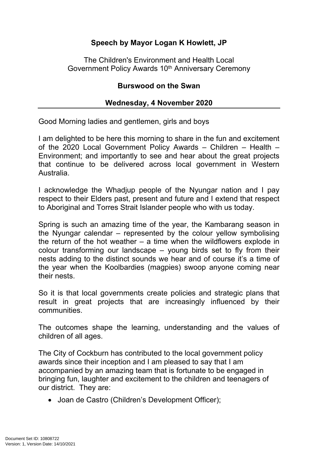## **Speech by Mayor Logan K Howlett, JP**

The Children's Environment and Health Local Government Policy Awards 10<sup>th</sup> Anniversary Ceremony

#### **Burswood on the Swan**

#### **Wednesday, 4 November 2020**

Good Morning ladies and gentlemen, girls and boys

I am delighted to be here this morning to share in the fun and excitement of the 2020 Local Government Policy Awards – Children – Health – Environment; and importantly to see and hear about the great projects that continue to be delivered across local government in Western Australia.

I acknowledge the Whadjup people of the Nyungar nation and I pay respect to their Elders past, present and future and I extend that respect to Aboriginal and Torres Strait Islander people who with us today.

Spring is such an amazing time of the year, the Kambarang season in the Nyungar calendar – represented by the colour yellow symbolising the return of the hot weather  $-$  a time when the wildflowers explode in colour transforming our landscape – young birds set to fly from their nests adding to the distinct sounds we hear and of course it's a time of the year when the Koolbardies (magpies) swoop anyone coming near their nests.

So it is that local governments create policies and strategic plans that result in great projects that are increasingly influenced by their communities.

The outcomes shape the learning, understanding and the values of children of all ages.

The City of Cockburn has contributed to the local government policy awards since their inception and I am pleased to say that I am accompanied by an amazing team that is fortunate to be engaged in bringing fun, laughter and excitement to the children and teenagers of our district. They are:

• Joan de Castro (Children's Development Officer);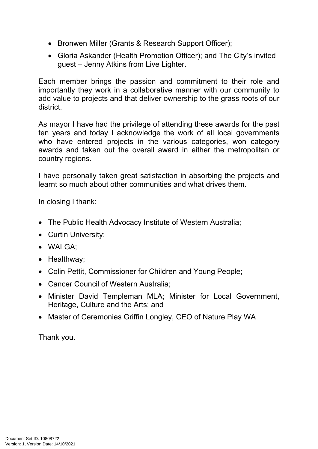- Bronwen Miller (Grants & Research Support Officer);
- Gloria Askander (Health Promotion Officer); and The City's invited guest – Jenny Atkins from Live Lighter.

Each member brings the passion and commitment to their role and importantly they work in a collaborative manner with our community to add value to projects and that deliver ownership to the grass roots of our district.

As mayor I have had the privilege of attending these awards for the past ten years and today I acknowledge the work of all local governments who have entered projects in the various categories, won category awards and taken out the overall award in either the metropolitan or country regions.

I have personally taken great satisfaction in absorbing the projects and learnt so much about other communities and what drives them.

In closing I thank:

- The Public Health Advocacy Institute of Western Australia;
- Curtin University;
- WALGA;
- Healthway;
- Colin Pettit, Commissioner for Children and Young People;
- Cancer Council of Western Australia:
- Minister David Templeman MLA; Minister for Local Government, Heritage, Culture and the Arts; and
- Master of Ceremonies Griffin Longley, CEO of Nature Play WA

Thank you.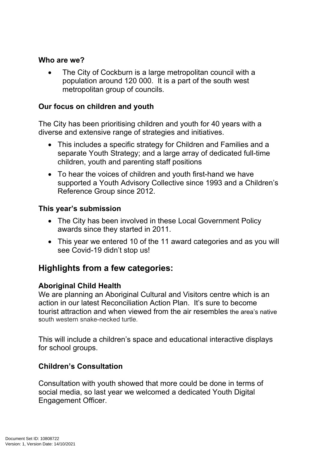#### **Who are we?**

• The City of Cockburn is a large metropolitan council with a population around 120 000. It is a part of the south west metropolitan group of councils.

#### **Our focus on children and youth**

The City has been prioritising children and youth for 40 years with a diverse and extensive range of strategies and initiatives.

- This includes a specific strategy for Children and Families and a separate Youth Strategy; and a large array of dedicated full-time children, youth and parenting staff positions
- To hear the voices of children and youth first-hand we have supported a Youth Advisory Collective since 1993 and a Children's Reference Group since 2012.

#### **This year's submission**

- The City has been involved in these Local Government Policy awards since they started in 2011.
- This year we entered 10 of the 11 award categories and as you will see Covid-19 didn't stop us!

# **Highlights from a few categories:**

#### **Aboriginal Child Health**

We are planning an Aboriginal Cultural and Visitors centre which is an action in our latest Reconciliation Action Plan. It's sure to become tourist attraction and when viewed from the air resembles the area's native south western snake-necked turtle.

This will include a children's space and educational interactive displays for school groups.

#### **Children's Consultation**

Consultation with youth showed that more could be done in terms of social media, so last year we welcomed a dedicated Youth Digital Engagement Officer.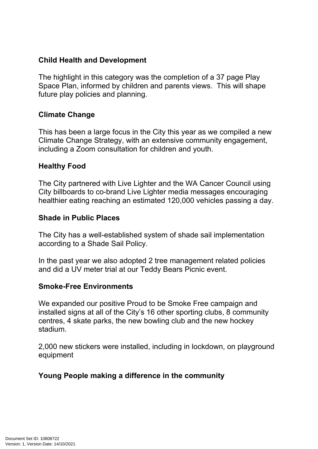## **Child Health and Development**

The highlight in this category was the completion of a 37 page Play Space Plan, informed by children and parents views. This will shape future play policies and planning.

#### **Climate Change**

This has been a large focus in the City this year as we compiled a new Climate Change Strategy, with an extensive community engagement, including a Zoom consultation for children and youth.

## **Healthy Food**

The City partnered with Live Lighter and the WA Cancer Council using City billboards to co-brand Live Lighter media messages encouraging healthier eating reaching an estimated 120,000 vehicles passing a day.

#### **Shade in Public Places**

The City has a well-established system of shade sail implementation according to a Shade Sail Policy.

In the past year we also adopted 2 tree management related policies and did a UV meter trial at our Teddy Bears Picnic event.

#### **Smoke-Free Environments**

We expanded our positive Proud to be Smoke Free campaign and installed signs at all of the City's 16 other sporting clubs, 8 community centres, 4 skate parks, the new bowling club and the new hockey stadium.

2,000 new stickers were installed, including in lockdown, on playground equipment

## **Young People making a difference in the community**